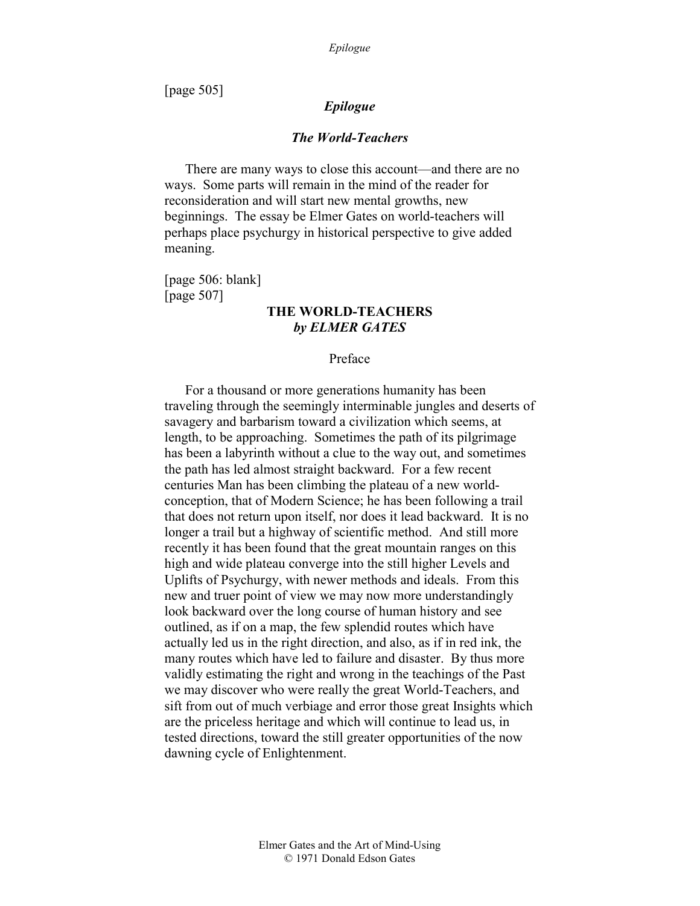[page 505]

# *Epilogue*

# *The World-Teachers*

There are many ways to close this account—and there are no ways. Some parts will remain in the mind of the reader for reconsideration and will start new mental growths, new beginnings. The essay be Elmer Gates on world-teachers will perhaps place psychurgy in historical perspective to give added meaning.

[page 506: blank] [page 507]

# **THE WORLD-TEACHERS**  *by ELMER GATES*

## Preface

For a thousand or more generations humanity has been traveling through the seemingly interminable jungles and deserts of savagery and barbarism toward a civilization which seems, at length, to be approaching. Sometimes the path of its pilgrimage has been a labyrinth without a clue to the way out, and sometimes the path has led almost straight backward. For a few recent centuries Man has been climbing the plateau of a new worldconception, that of Modern Science; he has been following a trail that does not return upon itself, nor does it lead backward. It is no longer a trail but a highway of scientific method. And still more recently it has been found that the great mountain ranges on this high and wide plateau converge into the still higher Levels and Uplifts of Psychurgy, with newer methods and ideals. From this new and truer point of view we may now more understandingly look backward over the long course of human history and see outlined, as if on a map, the few splendid routes which have actually led us in the right direction, and also, as if in red ink, the many routes which have led to failure and disaster. By thus more validly estimating the right and wrong in the teachings of the Past we may discover who were really the great World-Teachers, and sift from out of much verbiage and error those great Insights which are the priceless heritage and which will continue to lead us, in tested directions, toward the still greater opportunities of the now dawning cycle of Enlightenment.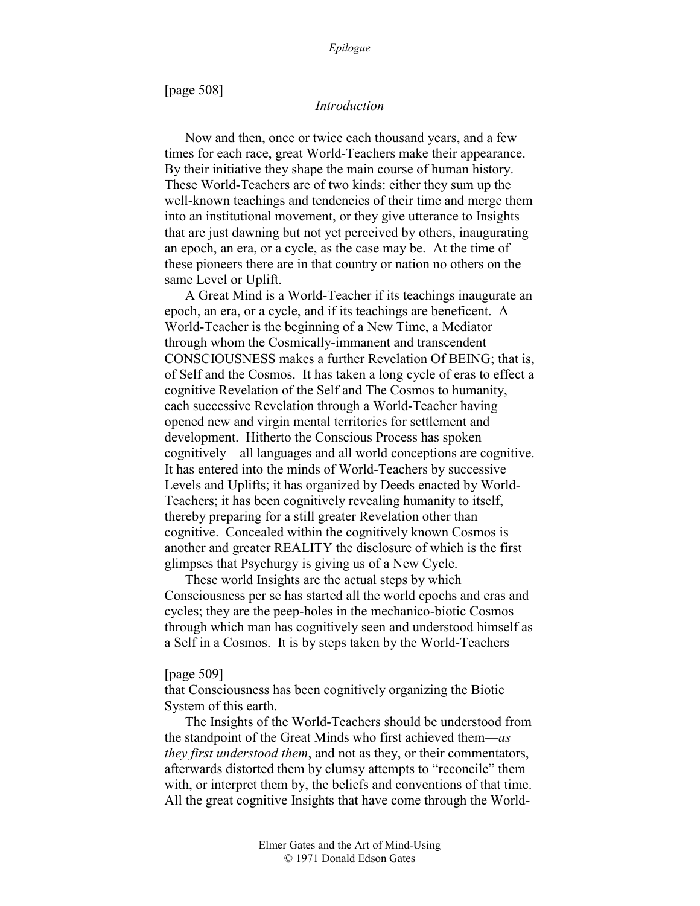[page 508]

# *Introduction*

Now and then, once or twice each thousand years, and a few times for each race, great World-Teachers make their appearance. By their initiative they shape the main course of human history. These World-Teachers are of two kinds: either they sum up the well-known teachings and tendencies of their time and merge them into an institutional movement, or they give utterance to Insights that are just dawning but not yet perceived by others, inaugurating an epoch, an era, or a cycle, as the case may be. At the time of these pioneers there are in that country or nation no others on the same Level or Uplift.

A Great Mind is a World-Teacher if its teachings inaugurate an epoch, an era, or a cycle, and if its teachings are beneficent. A World-Teacher is the beginning of a New Time, a Mediator through whom the Cosmically-immanent and transcendent CONSCIOUSNESS makes a further Revelation Of BEING; that is, of Self and the Cosmos. It has taken a long cycle of eras to effect a cognitive Revelation of the Self and The Cosmos to humanity, each successive Revelation through a World-Teacher having opened new and virgin mental territories for settlement and development. Hitherto the Conscious Process has spoken cognitively—all languages and all world conceptions are cognitive. It has entered into the minds of World-Teachers by successive Levels and Uplifts; it has organized by Deeds enacted by World-Teachers; it has been cognitively revealing humanity to itself, thereby preparing for a still greater Revelation other than cognitive. Concealed within the cognitively known Cosmos is another and greater REALITY the disclosure of which is the first glimpses that Psychurgy is giving us of a New Cycle.

These world Insights are the actual steps by which Consciousness per se has started all the world epochs and eras and cycles; they are the peep-holes in the mechanico-biotic Cosmos through which man has cognitively seen and understood himself as a Self in a Cosmos. It is by steps taken by the World-Teachers

### [page 509]

that Consciousness has been cognitively organizing the Biotic System of this earth.

The Insights of the World-Teachers should be understood from the standpoint of the Great Minds who first achieved them—*as they first understood them*, and not as they, or their commentators, afterwards distorted them by clumsy attempts to "reconcile" them with, or interpret them by, the beliefs and conventions of that time. All the great cognitive Insights that have come through the World-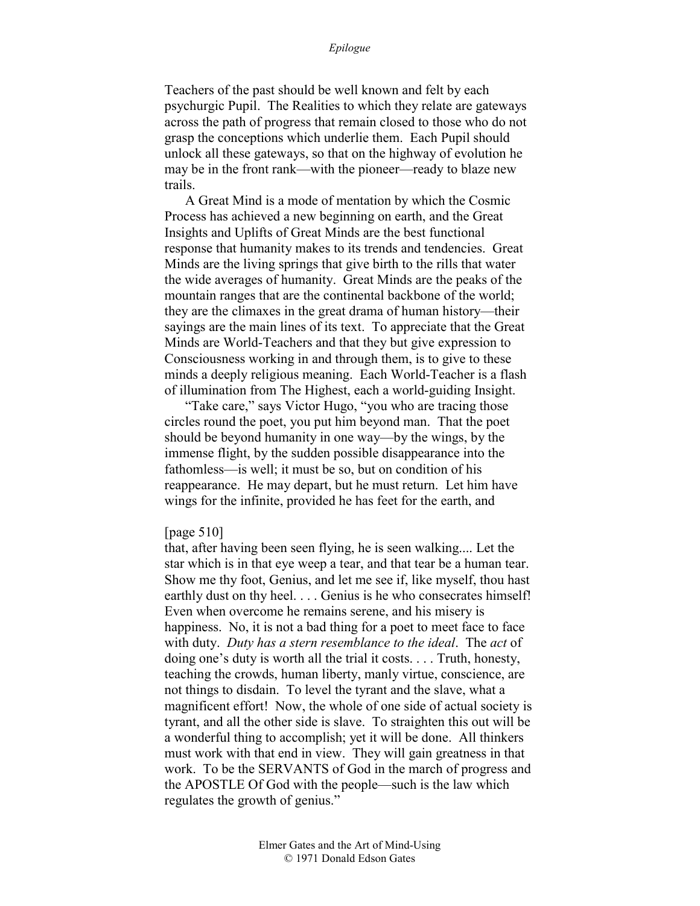Teachers of the past should be well known and felt by each psychurgic Pupil. The Realities to which they relate are gateways across the path of progress that remain closed to those who do not grasp the conceptions which underlie them. Each Pupil should unlock all these gateways, so that on the highway of evolution he may be in the front rank—with the pioneer—ready to blaze new trails.

A Great Mind is a mode of mentation by which the Cosmic Process has achieved a new beginning on earth, and the Great Insights and Uplifts of Great Minds are the best functional response that humanity makes to its trends and tendencies. Great Minds are the living springs that give birth to the rills that water the wide averages of humanity. Great Minds are the peaks of the mountain ranges that are the continental backbone of the world; they are the climaxes in the great drama of human history—their sayings are the main lines of its text. To appreciate that the Great Minds are World-Teachers and that they but give expression to Consciousness working in and through them, is to give to these minds a deeply religious meaning. Each World-Teacher is a flash of illumination from The Highest, each a world-guiding Insight.

"Take care," says Victor Hugo, "you who are tracing those circles round the poet, you put him beyond man. That the poet should be beyond humanity in one way—by the wings, by the immense flight, by the sudden possible disappearance into the fathomless—is well; it must be so, but on condition of his reappearance. He may depart, but he must return. Let him have wings for the infinite, provided he has feet for the earth, and

### [page 510]

that, after having been seen flying, he is seen walking.... Let the star which is in that eye weep a tear, and that tear be a human tear. Show me thy foot, Genius, and let me see if, like myself, thou hast earthly dust on thy heel. . . . Genius is he who consecrates himself! Even when overcome he remains serene, and his misery is happiness. No, it is not a bad thing for a poet to meet face to face with duty. *Duty has a stern resemblance to the ideal*. The *act* of doing one's duty is worth all the trial it costs. . . . Truth, honesty, teaching the crowds, human liberty, manly virtue, conscience, are not things to disdain. To level the tyrant and the slave, what a magnificent effort! Now, the whole of one side of actual society is tyrant, and all the other side is slave. To straighten this out will be a wonderful thing to accomplish; yet it will be done. All thinkers must work with that end in view. They will gain greatness in that work. To be the SERVANTS of God in the march of progress and the APOSTLE Of God with the people—such is the law which regulates the growth of genius."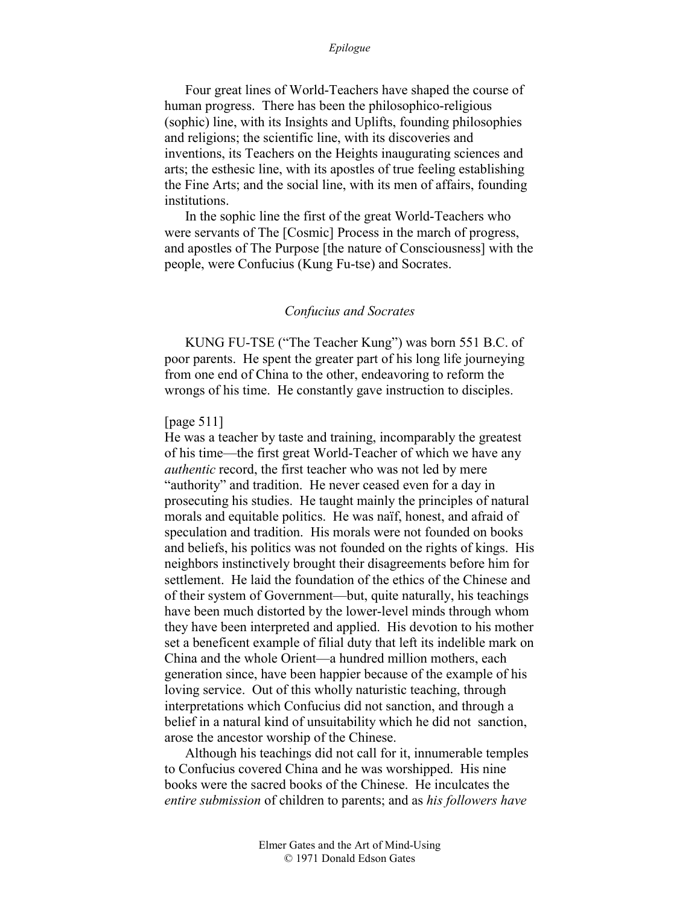Four great lines of World-Teachers have shaped the course of human progress. There has been the philosophico-religious (sophic) line, with its Insights and Uplifts, founding philosophies and religions; the scientific line, with its discoveries and inventions, its Teachers on the Heights inaugurating sciences and arts; the esthesic line, with its apostles of true feeling establishing the Fine Arts; and the social line, with its men of affairs, founding institutions.

In the sophic line the first of the great World-Teachers who were servants of The [Cosmic] Process in the march of progress, and apostles of The Purpose [the nature of Consciousness] with the people, were Confucius (Kung Fu-tse) and Socrates.

### *Confucius and Socrates*

KUNG FU-TSE ("The Teacher Kung") was born 551 B.C. of poor parents. He spent the greater part of his long life journeying from one end of China to the other, endeavoring to reform the wrongs of his time. He constantly gave instruction to disciples.

# [page 511]

He was a teacher by taste and training, incomparably the greatest of his time—the first great World-Teacher of which we have any *authentic* record, the first teacher who was not led by mere "authority" and tradition. He never ceased even for a day in prosecuting his studies. He taught mainly the principles of natural morals and equitable politics. He was naïf, honest, and afraid of speculation and tradition. His morals were not founded on books and beliefs, his politics was not founded on the rights of kings. His neighbors instinctively brought their disagreements before him for settlement. He laid the foundation of the ethics of the Chinese and of their system of Government—but, quite naturally, his teachings have been much distorted by the lower-level minds through whom they have been interpreted and applied. His devotion to his mother set a beneficent example of filial duty that left its indelible mark on China and the whole Orient—a hundred million mothers, each generation since, have been happier because of the example of his loving service. Out of this wholly naturistic teaching, through interpretations which Confucius did not sanction, and through a belief in a natural kind of unsuitability which he did not sanction, arose the ancestor worship of the Chinese.

Although his teachings did not call for it, innumerable temples to Confucius covered China and he was worshipped. His nine books were the sacred books of the Chinese. He inculcates the *entire submission* of children to parents; and as *his followers have*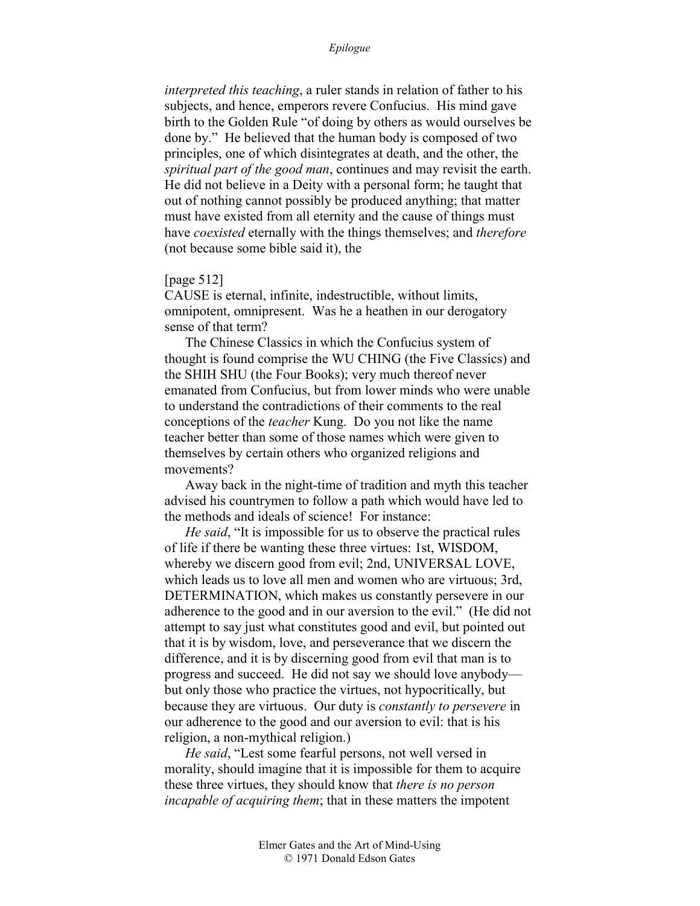*interpreted this teaching*, a ruler stands in relation of father to his subjects, and hence, emperors revere Confucius. His mind gave birth to the Golden Rule "of doing by others as would ourselves be done by." He believed that the human body is composed of two principles, one of which disintegrates at death, and the other, the *spiritual part of the good man*, continues and may revisit the earth. He did not believe in a Deity with a personal form; he taught that out of nothing cannot possibly be produced anything; that matter must have existed from all eternity and the cause of things must have *coexisted* eternally with the things themselves; and *therefore* (not because some bible said it), the

# [page 512]

CAUSE is eternal, infinite, indestructible, without limits, omnipotent, omnipresent. Was he a heathen in our derogatory sense of that term?

The Chinese Classics in which the Confucius system of thought is found comprise the WU CHING (the Five Classics) and the SHIH SHU (the Four Books); very much thereof never emanated from Confucius, but from lower minds who were unable to understand the contradictions of their comments to the real conceptions of the *teacher* Kung. Do you not like the name teacher better than some of those names which were given to themselves by certain others who organized religions and movements?

Away back in the night-time of tradition and myth this teacher advised his countrymen to follow a path which would have led to the methods and ideals of science! For instance:

*He said*, "It is impossible for us to observe the practical rules of life if there be wanting these three virtues: 1st, WISDOM, whereby we discern good from evil; 2nd, UNIVERSAL LOVE, which leads us to love all men and women who are virtuous; 3rd, DETERMINATION, which makes us constantly persevere in our adherence to the good and in our aversion to the evil." (He did not attempt to say just what constitutes good and evil, but pointed out that it is by wisdom, love, and perseverance that we discern the difference, and it is by discerning good from evil that man is to progress and succeed. He did not say we should love anybody but only those who practice the virtues, not hypocritically, but because they are virtuous. Our duty is *constantly to persevere* in our adherence to the good and our aversion to evil: that is his religion, a non-mythical religion.)

*He said*, "Lest some fearful persons, not well versed in morality, should imagine that it is impossible for them to acquire these three virtues, they should know that *there is no person incapable of acquiring them*; that in these matters the impotent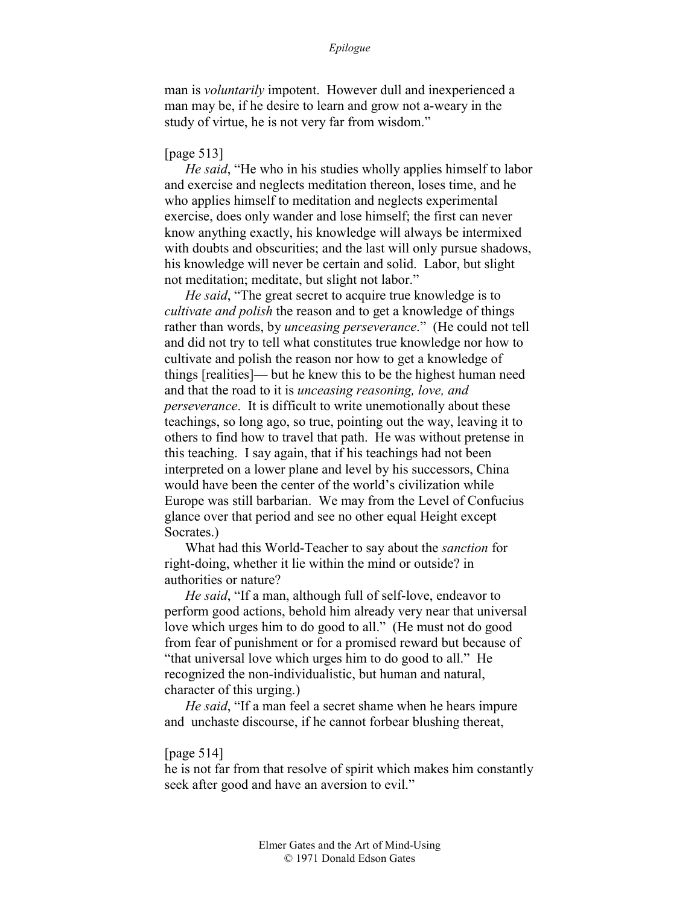man is *voluntarily* impotent. However dull and inexperienced a man may be, if he desire to learn and grow not a-weary in the study of virtue, he is not very far from wisdom."

### [page 513]

*He said*, "He who in his studies wholly applies himself to labor and exercise and neglects meditation thereon, loses time, and he who applies himself to meditation and neglects experimental exercise, does only wander and lose himself; the first can never know anything exactly, his knowledge will always be intermixed with doubts and obscurities; and the last will only pursue shadows, his knowledge will never be certain and solid. Labor, but slight not meditation; meditate, but slight not labor."

*He said*, "The great secret to acquire true knowledge is to *cultivate and polish* the reason and to get a knowledge of things rather than words, by *unceasing perseverance*." (He could not tell and did not try to tell what constitutes true knowledge nor how to cultivate and polish the reason nor how to get a knowledge of things [realities]— but he knew this to be the highest human need and that the road to it is *unceasing reasoning, love, and perseverance*. It is difficult to write unemotionally about these teachings, so long ago, so true, pointing out the way, leaving it to others to find how to travel that path. He was without pretense in this teaching. I say again, that if his teachings had not been interpreted on a lower plane and level by his successors, China would have been the center of the world's civilization while Europe was still barbarian. We may from the Level of Confucius glance over that period and see no other equal Height except Socrates.)

What had this World-Teacher to say about the *sanction* for right-doing, whether it lie within the mind or outside? in authorities or nature?

*He said*, "If a man, although full of self-love, endeavor to perform good actions, behold him already very near that universal love which urges him to do good to all." (He must not do good from fear of punishment or for a promised reward but because of "that universal love which urges him to do good to all." He recognized the non-individualistic, but human and natural, character of this urging.)

*He said*, "If a man feel a secret shame when he hears impure and unchaste discourse, if he cannot forbear blushing thereat,

### [page 514]

he is not far from that resolve of spirit which makes him constantly seek after good and have an aversion to evil."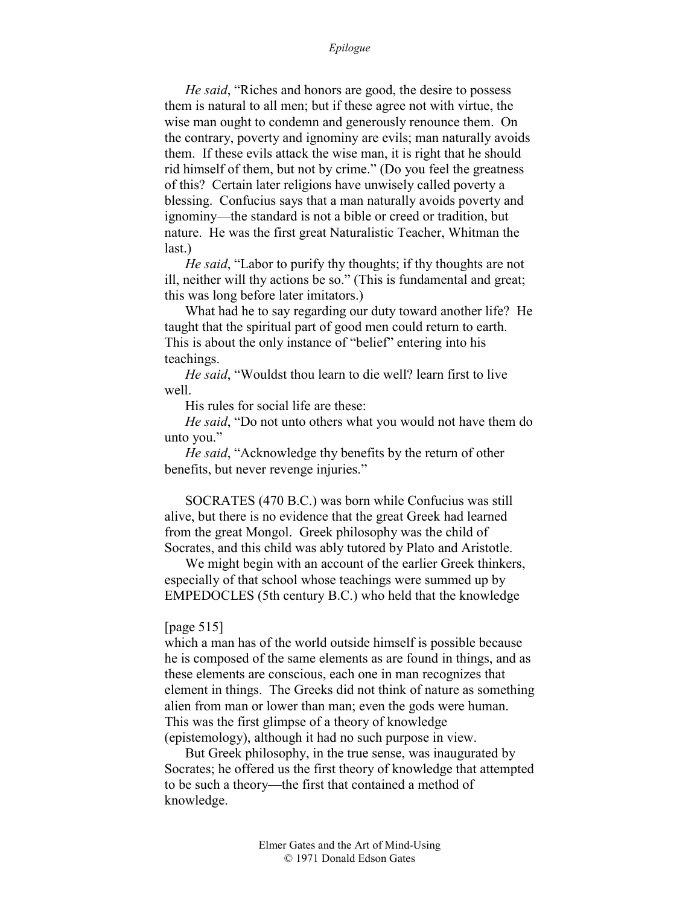*He said*, "Riches and honors are good, the desire to possess them is natural to all men; but if these agree not with virtue, the wise man ought to condemn and generously renounce them. On the contrary, poverty and ignominy are evils; man naturally avoids them. If these evils attack the wise man, it is right that he should rid himself of them, but not by crime." (Do you feel the greatness of this? Certain later religions have unwisely called poverty a blessing. Confucius says that a man naturally avoids poverty and ignominy—the standard is not a bible or creed or tradition, but nature. He was the first great Naturalistic Teacher, Whitman the last.)

*He said*, "Labor to purify thy thoughts; if thy thoughts are not ill, neither will thy actions be so." (This is fundamental and great; this was long before later imitators.)

What had he to say regarding our duty toward another life? He taught that the spiritual part of good men could return to earth. This is about the only instance of "belief" entering into his teachings.

*He said*, "Wouldst thou learn to die well? learn first to live well.

His rules for social life are these:

*He said*, "Do not unto others what you would not have them do unto you."

*He said*, "Acknowledge thy benefits by the return of other benefits, but never revenge injuries."

SOCRATES (470 B.C.) was born while Confucius was still alive, but there is no evidence that the great Greek had learned from the great Mongol. Greek philosophy was the child of Socrates, and this child was ably tutored by Plato and Aristotle.

We might begin with an account of the earlier Greek thinkers, especially of that school whose teachings were summed up by EMPEDOCLES (5th century B.C.) who held that the knowledge

### [page 515]

which a man has of the world outside himself is possible because he is composed of the same elements as are found in things, and as these elements are conscious, each one in man recognizes that element in things. The Greeks did not think of nature as something alien from man or lower than man; even the gods were human. This was the first glimpse of a theory of knowledge (epistemology), although it had no such purpose in view.

But Greek philosophy, in the true sense, was inaugurated by Socrates; he offered us the first theory of knowledge that attempted to be such a theory—the first that contained a method of knowledge.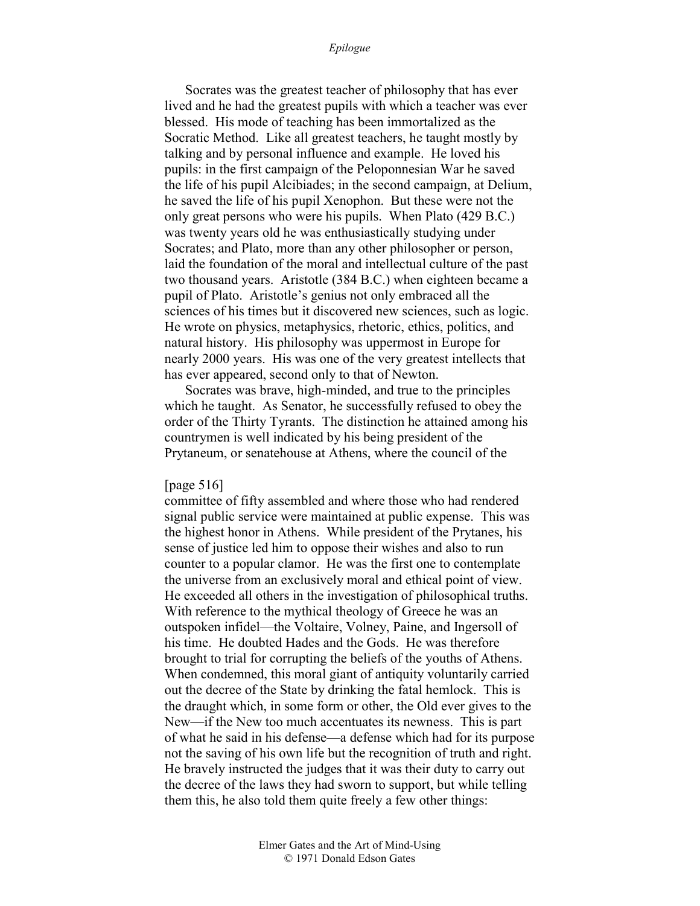Socrates was the greatest teacher of philosophy that has ever lived and he had the greatest pupils with which a teacher was ever blessed. His mode of teaching has been immortalized as the Socratic Method. Like all greatest teachers, he taught mostly by talking and by personal influence and example. He loved his pupils: in the first campaign of the Peloponnesian War he saved the life of his pupil Alcibiades; in the second campaign, at Delium, he saved the life of his pupil Xenophon. But these were not the only great persons who were his pupils. When Plato (429 B.C.) was twenty years old he was enthusiastically studying under Socrates; and Plato, more than any other philosopher or person, laid the foundation of the moral and intellectual culture of the past two thousand years. Aristotle (384 B.C.) when eighteen became a pupil of Plato. Aristotle's genius not only embraced all the sciences of his times but it discovered new sciences, such as logic. He wrote on physics, metaphysics, rhetoric, ethics, politics, and natural history. His philosophy was uppermost in Europe for nearly 2000 years. His was one of the very greatest intellects that has ever appeared, second only to that of Newton.

Socrates was brave, high-minded, and true to the principles which he taught. As Senator, he successfully refused to obey the order of the Thirty Tyrants. The distinction he attained among his countrymen is well indicated by his being president of the Prytaneum, or senatehouse at Athens, where the council of the

### [page 516]

committee of fifty assembled and where those who had rendered signal public service were maintained at public expense. This was the highest honor in Athens. While president of the Prytanes, his sense of justice led him to oppose their wishes and also to run counter to a popular clamor. He was the first one to contemplate the universe from an exclusively moral and ethical point of view. He exceeded all others in the investigation of philosophical truths. With reference to the mythical theology of Greece he was an outspoken infidel—the Voltaire, Volney, Paine, and Ingersoll of his time. He doubted Hades and the Gods. He was therefore brought to trial for corrupting the beliefs of the youths of Athens. When condemned, this moral giant of antiquity voluntarily carried out the decree of the State by drinking the fatal hemlock. This is the draught which, in some form or other, the Old ever gives to the New—if the New too much accentuates its newness. This is part of what he said in his defense—a defense which had for its purpose not the saving of his own life but the recognition of truth and right. He bravely instructed the judges that it was their duty to carry out the decree of the laws they had sworn to support, but while telling them this, he also told them quite freely a few other things: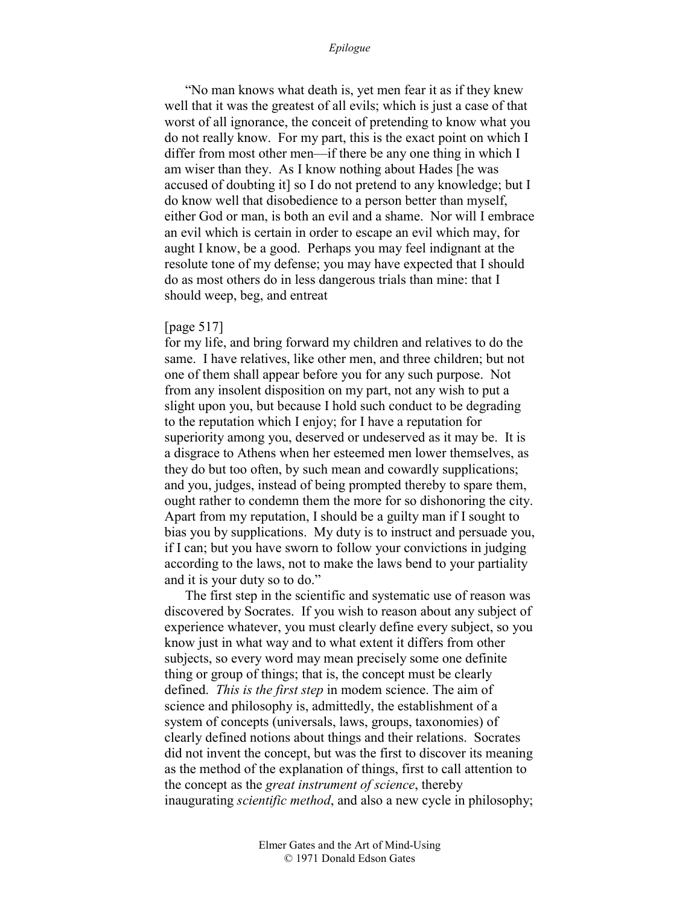"No man knows what death is, yet men fear it as if they knew well that it was the greatest of all evils; which is just a case of that worst of all ignorance, the conceit of pretending to know what you do not really know. For my part, this is the exact point on which I differ from most other men—if there be any one thing in which I am wiser than they. As I know nothing about Hades [he was accused of doubting it] so I do not pretend to any knowledge; but I do know well that disobedience to a person better than myself, either God or man, is both an evil and a shame. Nor will I embrace an evil which is certain in order to escape an evil which may, for aught I know, be a good. Perhaps you may feel indignant at the resolute tone of my defense; you may have expected that I should do as most others do in less dangerous trials than mine: that I should weep, beg, and entreat

## [page 517]

for my life, and bring forward my children and relatives to do the same. I have relatives, like other men, and three children; but not one of them shall appear before you for any such purpose. Not from any insolent disposition on my part, not any wish to put a slight upon you, but because I hold such conduct to be degrading to the reputation which I enjoy; for I have a reputation for superiority among you, deserved or undeserved as it may be. It is a disgrace to Athens when her esteemed men lower themselves, as they do but too often, by such mean and cowardly supplications; and you, judges, instead of being prompted thereby to spare them, ought rather to condemn them the more for so dishonoring the city. Apart from my reputation, I should be a guilty man if I sought to bias you by supplications. My duty is to instruct and persuade you, if I can; but you have sworn to follow your convictions in judging according to the laws, not to make the laws bend to your partiality and it is your duty so to do."

The first step in the scientific and systematic use of reason was discovered by Socrates. If you wish to reason about any subject of experience whatever, you must clearly define every subject, so you know just in what way and to what extent it differs from other subjects, so every word may mean precisely some one definite thing or group of things; that is, the concept must be clearly defined. *This is the first step* in modem science. The aim of science and philosophy is, admittedly, the establishment of a system of concepts (universals, laws, groups, taxonomies) of clearly defined notions about things and their relations. Socrates did not invent the concept, but was the first to discover its meaning as the method of the explanation of things, first to call attention to the concept as the *great instrument of science*, thereby inaugurating *scientific method*, and also a new cycle in philosophy;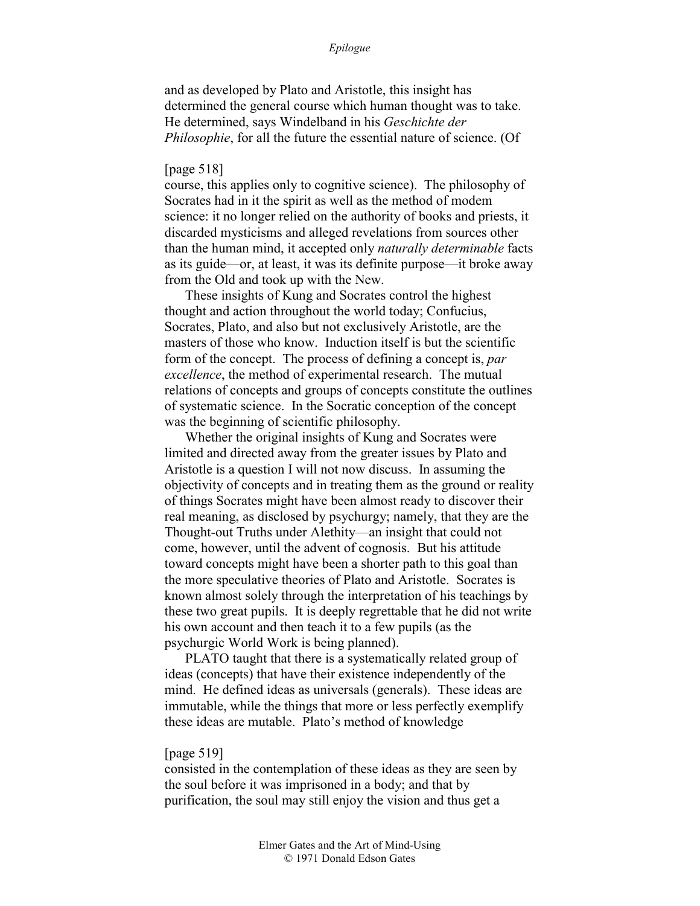and as developed by Plato and Aristotle, this insight has determined the general course which human thought was to take. He determined, says Windelband in his *Geschichte der Philosophie*, for all the future the essential nature of science. (Of

### [page 518]

course, this applies only to cognitive science). The philosophy of Socrates had in it the spirit as well as the method of modem science: it no longer relied on the authority of books and priests, it discarded mysticisms and alleged revelations from sources other than the human mind, it accepted only *naturally determinable* facts as its guide—or, at least, it was its definite purpose—it broke away from the Old and took up with the New.

These insights of Kung and Socrates control the highest thought and action throughout the world today; Confucius, Socrates, Plato, and also but not exclusively Aristotle, are the masters of those who know. Induction itself is but the scientific form of the concept. The process of defining a concept is, *par excellence*, the method of experimental research. The mutual relations of concepts and groups of concepts constitute the outlines of systematic science. In the Socratic conception of the concept was the beginning of scientific philosophy.

Whether the original insights of Kung and Socrates were limited and directed away from the greater issues by Plato and Aristotle is a question I will not now discuss. In assuming the objectivity of concepts and in treating them as the ground or reality of things Socrates might have been almost ready to discover their real meaning, as disclosed by psychurgy; namely, that they are the Thought-out Truths under Alethity—an insight that could not come, however, until the advent of cognosis. But his attitude toward concepts might have been a shorter path to this goal than the more speculative theories of Plato and Aristotle. Socrates is known almost solely through the interpretation of his teachings by these two great pupils. It is deeply regrettable that he did not write his own account and then teach it to a few pupils (as the psychurgic World Work is being planned).

PLATO taught that there is a systematically related group of ideas (concepts) that have their existence independently of the mind. He defined ideas as universals (generals). These ideas are immutable, while the things that more or less perfectly exemplify these ideas are mutable. Plato's method of knowledge

#### [page 519]

consisted in the contemplation of these ideas as they are seen by the soul before it was imprisoned in a body; and that by purification, the soul may still enjoy the vision and thus get a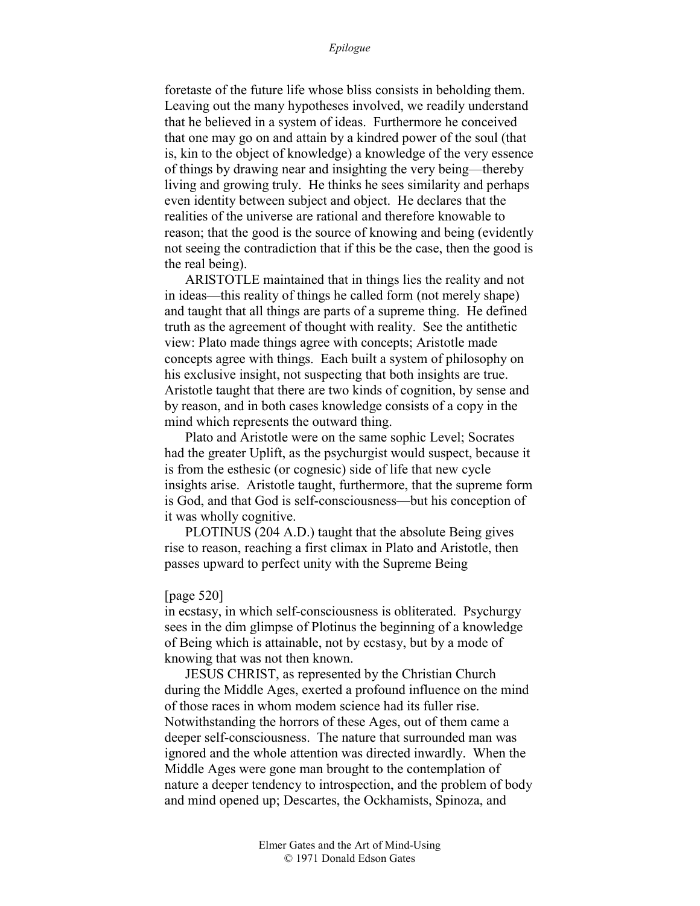foretaste of the future life whose bliss consists in beholding them. Leaving out the many hypotheses involved, we readily understand that he believed in a system of ideas. Furthermore he conceived that one may go on and attain by a kindred power of the soul (that is, kin to the object of knowledge) a knowledge of the very essence of things by drawing near and insighting the very being—thereby living and growing truly. He thinks he sees similarity and perhaps even identity between subject and object. He declares that the realities of the universe are rational and therefore knowable to reason; that the good is the source of knowing and being (evidently not seeing the contradiction that if this be the case, then the good is the real being).

ARISTOTLE maintained that in things lies the reality and not in ideas—this reality of things he called form (not merely shape) and taught that all things are parts of a supreme thing. He defined truth as the agreement of thought with reality. See the antithetic view: Plato made things agree with concepts; Aristotle made concepts agree with things. Each built a system of philosophy on his exclusive insight, not suspecting that both insights are true. Aristotle taught that there are two kinds of cognition, by sense and by reason, and in both cases knowledge consists of a copy in the mind which represents the outward thing.

Plato and Aristotle were on the same sophic Level; Socrates had the greater Uplift, as the psychurgist would suspect, because it is from the esthesic (or cognesic) side of life that new cycle insights arise. Aristotle taught, furthermore, that the supreme form is God, and that God is self-consciousness—but his conception of it was wholly cognitive.

PLOTINUS (204 A.D.) taught that the absolute Being gives rise to reason, reaching a first climax in Plato and Aristotle, then passes upward to perfect unity with the Supreme Being

### [page 520]

in ecstasy, in which self-consciousness is obliterated. Psychurgy sees in the dim glimpse of Plotinus the beginning of a knowledge of Being which is attainable, not by ecstasy, but by a mode of knowing that was not then known.

JESUS CHRIST, as represented by the Christian Church during the Middle Ages, exerted a profound influence on the mind of those races in whom modem science had its fuller rise. Notwithstanding the horrors of these Ages, out of them came a deeper self-consciousness. The nature that surrounded man was ignored and the whole attention was directed inwardly. When the Middle Ages were gone man brought to the contemplation of nature a deeper tendency to introspection, and the problem of body and mind opened up; Descartes, the Ockhamists, Spinoza, and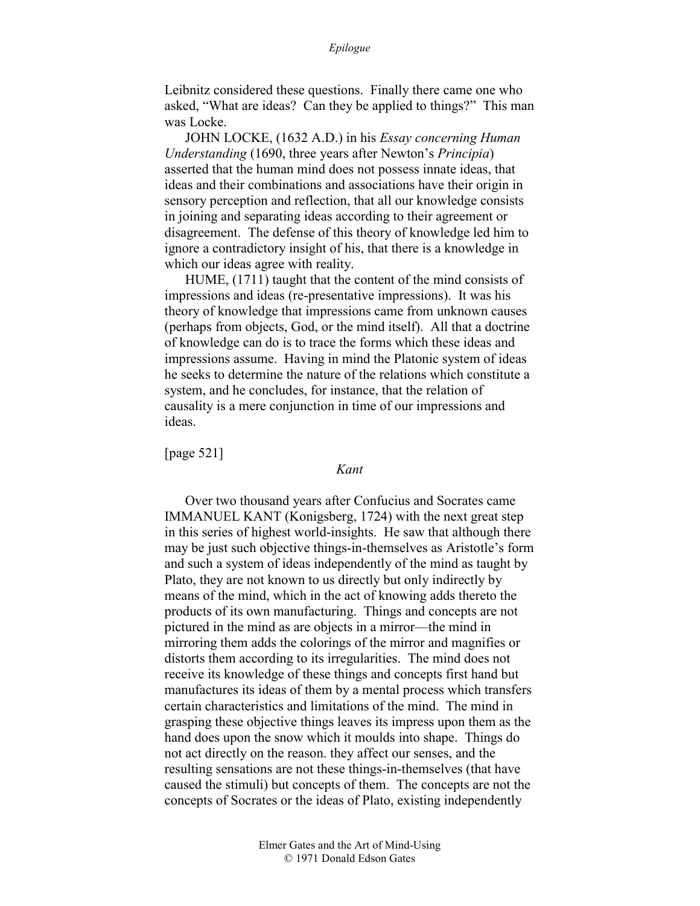Leibnitz considered these questions. Finally there came one who asked, "What are ideas? Can they be applied to things?" This man was Locke.

JOHN LOCKE, (1632 A.D.) in his *Essay concerning Human Understanding* (1690, three years after Newton's *Principia*) asserted that the human mind does not possess innate ideas, that ideas and their combinations and associations have their origin in sensory perception and reflection, that all our knowledge consists in joining and separating ideas according to their agreement or disagreement. The defense of this theory of knowledge led him to ignore a contradictory insight of his, that there is a knowledge in which our ideas agree with reality.

HUME, (1711) taught that the content of the mind consists of impressions and ideas (re-presentative impressions). It was his theory of knowledge that impressions came from unknown causes (perhaps from objects, God, or the mind itself). All that a doctrine of knowledge can do is to trace the forms which these ideas and impressions assume. Having in mind the Platonic system of ideas he seeks to determine the nature of the relations which constitute a system, and he concludes, for instance, that the relation of causality is a mere conjunction in time of our impressions and ideas.

[page 521]

## *Kant*

Over two thousand years after Confucius and Socrates came IMMANUEL KANT (Konigsberg, 1724) with the next great step in this series of highest world-insights. He saw that although there may be just such objective things-in-themselves as Aristotle's form and such a system of ideas independently of the mind as taught by Plato, they are not known to us directly but only indirectly by means of the mind, which in the act of knowing adds thereto the products of its own manufacturing. Things and concepts are not pictured in the mind as are objects in a mirror—the mind in mirroring them adds the colorings of the mirror and magnifies or distorts them according to its irregularities. The mind does not receive its knowledge of these things and concepts first hand but manufactures its ideas of them by a mental process which transfers certain characteristics and limitations of the mind. The mind in grasping these objective things leaves its impress upon them as the hand does upon the snow which it moulds into shape. Things do not act directly on the reason. they affect our senses, and the resulting sensations are not these things-in-themselves (that have caused the stimuli) but concepts of them. The concepts are not the concepts of Socrates or the ideas of Plato, existing independently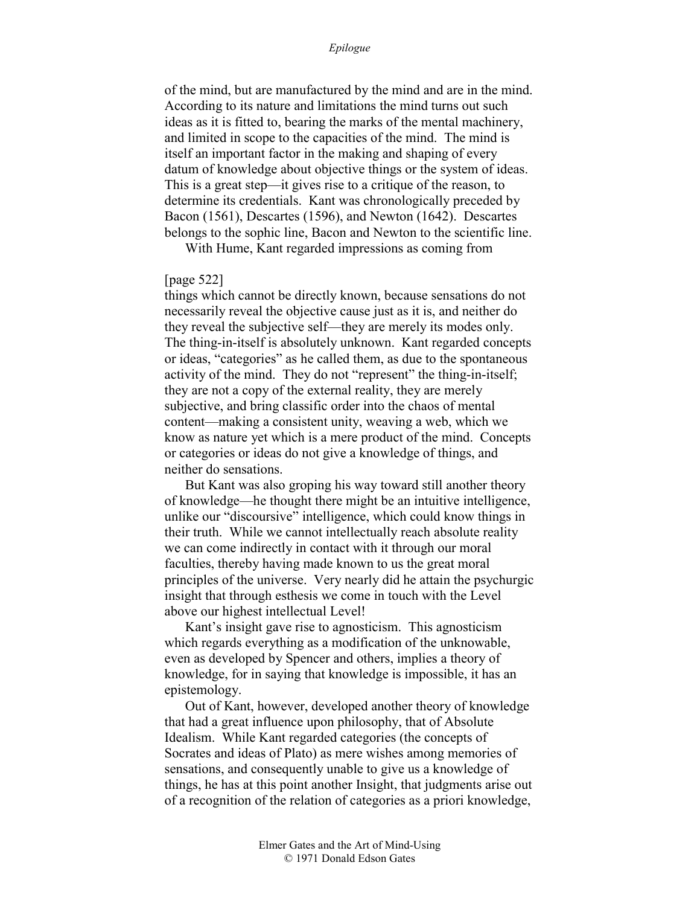of the mind, but are manufactured by the mind and are in the mind. According to its nature and limitations the mind turns out such ideas as it is fitted to, bearing the marks of the mental machinery, and limited in scope to the capacities of the mind. The mind is itself an important factor in the making and shaping of every datum of knowledge about objective things or the system of ideas. This is a great step—it gives rise to a critique of the reason, to determine its credentials. Kant was chronologically preceded by Bacon (1561), Descartes (1596), and Newton (1642). Descartes belongs to the sophic line, Bacon and Newton to the scientific line.

With Hume, Kant regarded impressions as coming from

# [page 522]

things which cannot be directly known, because sensations do not necessarily reveal the objective cause just as it is, and neither do they reveal the subjective self—they are merely its modes only. The thing-in-itself is absolutely unknown. Kant regarded concepts or ideas, "categories" as he called them, as due to the spontaneous activity of the mind. They do not "represent" the thing-in-itself; they are not a copy of the external reality, they are merely subjective, and bring classific order into the chaos of mental content—making a consistent unity, weaving a web, which we know as nature yet which is a mere product of the mind. Concepts or categories or ideas do not give a knowledge of things, and neither do sensations.

But Kant was also groping his way toward still another theory of knowledge—he thought there might be an intuitive intelligence, unlike our "discoursive" intelligence, which could know things in their truth. While we cannot intellectually reach absolute reality we can come indirectly in contact with it through our moral faculties, thereby having made known to us the great moral principles of the universe. Very nearly did he attain the psychurgic insight that through esthesis we come in touch with the Level above our highest intellectual Level!

Kant's insight gave rise to agnosticism. This agnosticism which regards everything as a modification of the unknowable, even as developed by Spencer and others, implies a theory of knowledge, for in saying that knowledge is impossible, it has an epistemology.

Out of Kant, however, developed another theory of knowledge that had a great influence upon philosophy, that of Absolute Idealism. While Kant regarded categories (the concepts of Socrates and ideas of Plato) as mere wishes among memories of sensations, and consequently unable to give us a knowledge of things, he has at this point another Insight, that judgments arise out of a recognition of the relation of categories as a priori knowledge,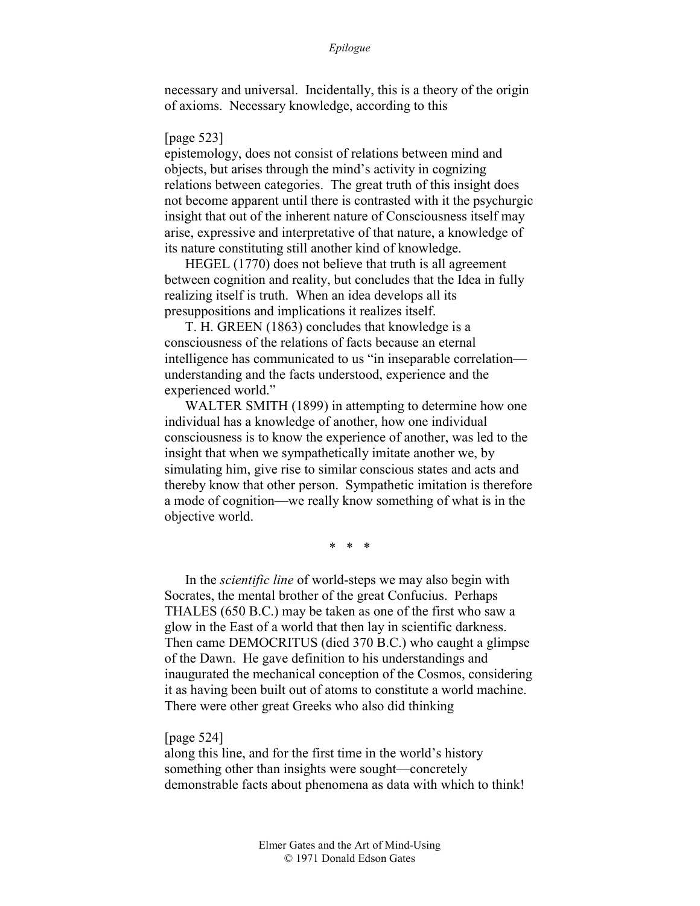necessary and universal. Incidentally, this is a theory of the origin of axioms. Necessary knowledge, according to this

## [page 523]

epistemology, does not consist of relations between mind and objects, but arises through the mind's activity in cognizing relations between categories. The great truth of this insight does not become apparent until there is contrasted with it the psychurgic insight that out of the inherent nature of Consciousness itself may arise, expressive and interpretative of that nature, a knowledge of its nature constituting still another kind of knowledge.

HEGEL (1770) does not believe that truth is all agreement between cognition and reality, but concludes that the Idea in fully realizing itself is truth. When an idea develops all its presuppositions and implications it realizes itself.

T. H. GREEN (1863) concludes that knowledge is a consciousness of the relations of facts because an eternal intelligence has communicated to us "in inseparable correlation understanding and the facts understood, experience and the experienced world."

WALTER SMITH (1899) in attempting to determine how one individual has a knowledge of another, how one individual consciousness is to know the experience of another, was led to the insight that when we sympathetically imitate another we, by simulating him, give rise to similar conscious states and acts and thereby know that other person. Sympathetic imitation is therefore a mode of cognition—we really know something of what is in the objective world.

\* \* \*

In the *scientific line* of world-steps we may also begin with Socrates, the mental brother of the great Confucius. Perhaps THALES (650 B.C.) may be taken as one of the first who saw a glow in the East of a world that then lay in scientific darkness. Then came DEMOCRITUS (died 370 B.C.) who caught a glimpse of the Dawn. He gave definition to his understandings and inaugurated the mechanical conception of the Cosmos, considering it as having been built out of atoms to constitute a world machine. There were other great Greeks who also did thinking

# [page 524]

along this line, and for the first time in the world's history something other than insights were sought—concretely demonstrable facts about phenomena as data with which to think!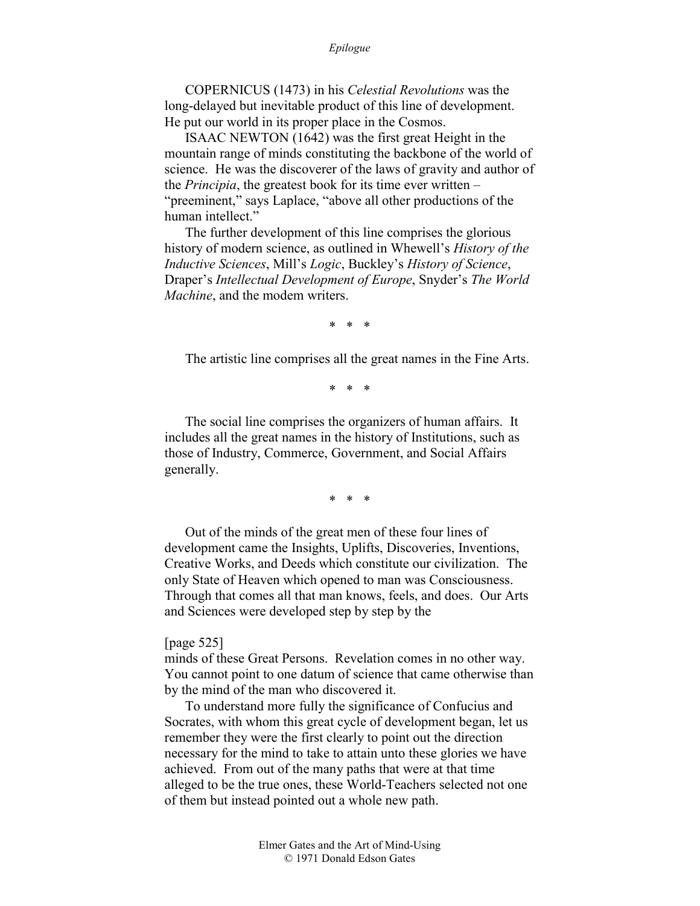COPERNICUS (1473) in his *Celestial Revolutions* was the long-delayed but inevitable product of this line of development. He put our world in its proper place in the Cosmos.

ISAAC NEWTON (1642) was the first great Height in the mountain range of minds constituting the backbone of the world of science. He was the discoverer of the laws of gravity and author of the *Principia*, the greatest book for its time ever written – "preeminent," says Laplace, "above all other productions of the human intellect."

The further development of this line comprises the glorious history of modern science, as outlined in Whewell's *History of the Inductive Sciences*, Mill's *Logic*, Buckley's *History of Science*, Draper's *Intellectual Development of Europe*, Snyder's *The World Machine*, and the modem writers.

\* \* \*

The artistic line comprises all the great names in the Fine Arts.

\* \* \*

The social line comprises the organizers of human affairs. It includes all the great names in the history of Institutions, such as those of Industry, Commerce, Government, and Social Affairs generally.

\* \* \*

Out of the minds of the great men of these four lines of development came the Insights, Uplifts, Discoveries, Inventions, Creative Works, and Deeds which constitute our civilization. The only State of Heaven which opened to man was Consciousness. Through that comes all that man knows, feels, and does. Our Arts and Sciences were developed step by step by the

# [page 525]

minds of these Great Persons. Revelation comes in no other way. You cannot point to one datum of science that came otherwise than by the mind of the man who discovered it.

To understand more fully the significance of Confucius and Socrates, with whom this great cycle of development began, let us remember they were the first clearly to point out the direction necessary for the mind to take to attain unto these glories we have achieved. From out of the many paths that were at that time alleged to be the true ones, these World-Teachers selected not one of them but instead pointed out a whole new path.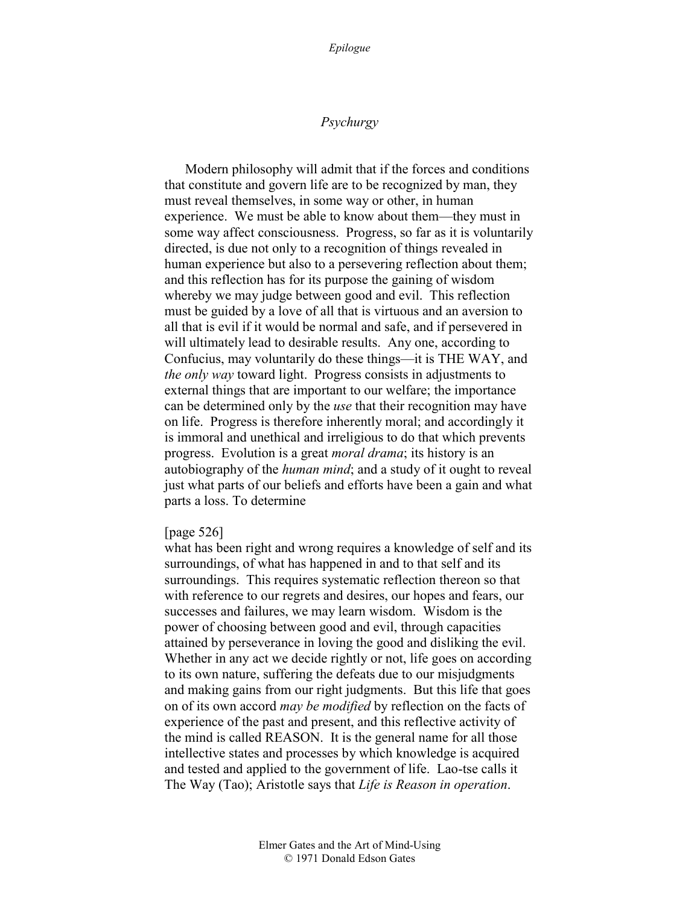# *Psychurgy*

Modern philosophy will admit that if the forces and conditions that constitute and govern life are to be recognized by man, they must reveal themselves, in some way or other, in human experience. We must be able to know about them—they must in some way affect consciousness. Progress, so far as it is voluntarily directed, is due not only to a recognition of things revealed in human experience but also to a persevering reflection about them; and this reflection has for its purpose the gaining of wisdom whereby we may judge between good and evil. This reflection must be guided by a love of all that is virtuous and an aversion to all that is evil if it would be normal and safe, and if persevered in will ultimately lead to desirable results. Any one, according to Confucius, may voluntarily do these things—it is THE WAY, and *the only way* toward light. Progress consists in adjustments to external things that are important to our welfare; the importance can be determined only by the *use* that their recognition may have on life. Progress is therefore inherently moral; and accordingly it is immoral and unethical and irreligious to do that which prevents progress. Evolution is a great *moral drama*; its history is an autobiography of the *human mind*; and a study of it ought to reveal just what parts of our beliefs and efforts have been a gain and what parts a loss. To determine

### [page 526]

what has been right and wrong requires a knowledge of self and its surroundings, of what has happened in and to that self and its surroundings. This requires systematic reflection thereon so that with reference to our regrets and desires, our hopes and fears, our successes and failures, we may learn wisdom. Wisdom is the power of choosing between good and evil, through capacities attained by perseverance in loving the good and disliking the evil. Whether in any act we decide rightly or not, life goes on according to its own nature, suffering the defeats due to our misjudgments and making gains from our right judgments. But this life that goes on of its own accord *may be modified* by reflection on the facts of experience of the past and present, and this reflective activity of the mind is called REASON. It is the general name for all those intellective states and processes by which knowledge is acquired and tested and applied to the government of life. Lao-tse calls it The Way (Tao); Aristotle says that *Life is Reason in operation*.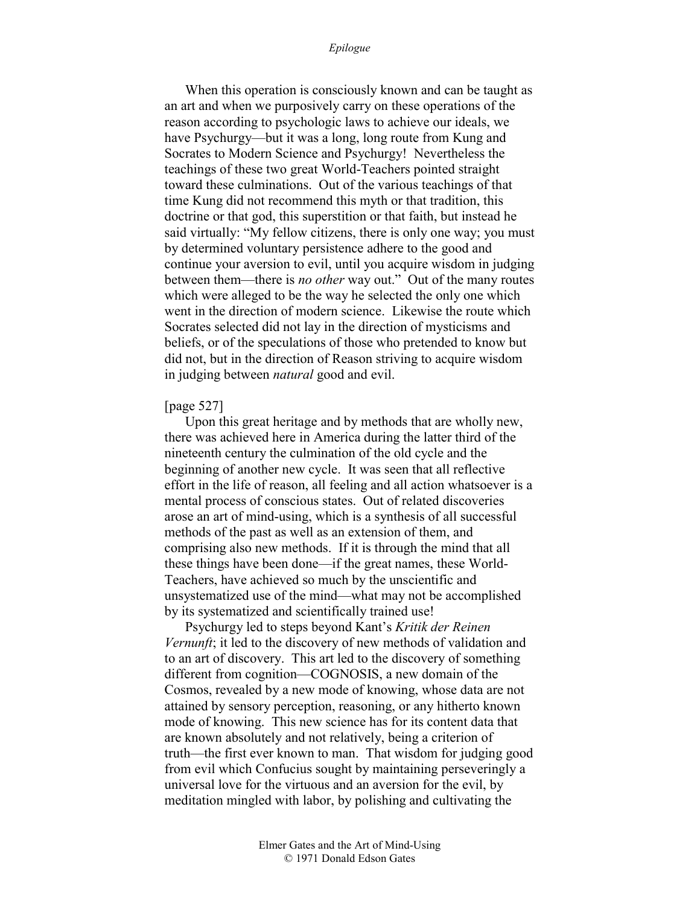When this operation is consciously known and can be taught as an art and when we purposively carry on these operations of the reason according to psychologic laws to achieve our ideals, we have Psychurgy—but it was a long, long route from Kung and Socrates to Modern Science and Psychurgy! Nevertheless the teachings of these two great World-Teachers pointed straight toward these culminations. Out of the various teachings of that time Kung did not recommend this myth or that tradition, this doctrine or that god, this superstition or that faith, but instead he said virtually: "My fellow citizens, there is only one way; you must by determined voluntary persistence adhere to the good and continue your aversion to evil, until you acquire wisdom in judging between them—there is *no other* way out." Out of the many routes which were alleged to be the way he selected the only one which went in the direction of modern science. Likewise the route which Socrates selected did not lay in the direction of mysticisms and beliefs, or of the speculations of those who pretended to know but did not, but in the direction of Reason striving to acquire wisdom in judging between *natural* good and evil.

## [page 527]

Upon this great heritage and by methods that are wholly new, there was achieved here in America during the latter third of the nineteenth century the culmination of the old cycle and the beginning of another new cycle. It was seen that all reflective effort in the life of reason, all feeling and all action whatsoever is a mental process of conscious states. Out of related discoveries arose an art of mind-using, which is a synthesis of all successful methods of the past as well as an extension of them, and comprising also new methods. If it is through the mind that all these things have been done—if the great names, these World-Teachers, have achieved so much by the unscientific and unsystematized use of the mind—what may not be accomplished by its systematized and scientifically trained use!

Psychurgy led to steps beyond Kant's *Kritik der Reinen Vernunft*; it led to the discovery of new methods of validation and to an art of discovery. This art led to the discovery of something different from cognition—COGNOSIS, a new domain of the Cosmos, revealed by a new mode of knowing, whose data are not attained by sensory perception, reasoning, or any hitherto known mode of knowing. This new science has for its content data that are known absolutely and not relatively, being a criterion of truth—the first ever known to man. That wisdom for judging good from evil which Confucius sought by maintaining perseveringly a universal love for the virtuous and an aversion for the evil, by meditation mingled with labor, by polishing and cultivating the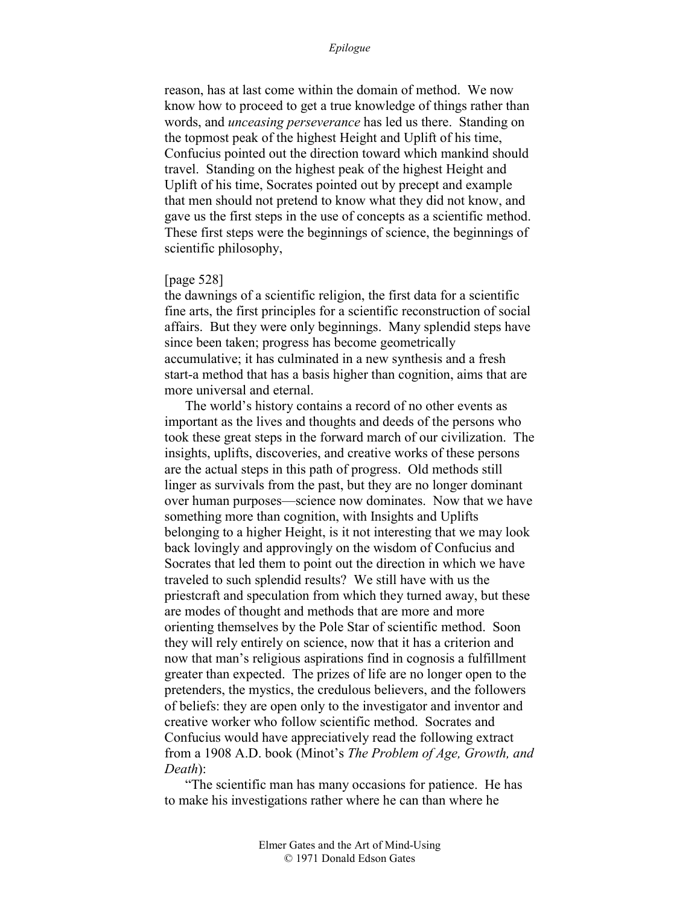reason, has at last come within the domain of method. We now know how to proceed to get a true knowledge of things rather than words, and *unceasing perseverance* has led us there. Standing on the topmost peak of the highest Height and Uplift of his time, Confucius pointed out the direction toward which mankind should travel. Standing on the highest peak of the highest Height and Uplift of his time, Socrates pointed out by precept and example that men should not pretend to know what they did not know, and gave us the first steps in the use of concepts as a scientific method. These first steps were the beginnings of science, the beginnings of scientific philosophy,

# [page 528]

the dawnings of a scientific religion, the first data for a scientific fine arts, the first principles for a scientific reconstruction of social affairs. But they were only beginnings. Many splendid steps have since been taken; progress has become geometrically accumulative; it has culminated in a new synthesis and a fresh start-a method that has a basis higher than cognition, aims that are more universal and eternal.

The world's history contains a record of no other events as important as the lives and thoughts and deeds of the persons who took these great steps in the forward march of our civilization. The insights, uplifts, discoveries, and creative works of these persons are the actual steps in this path of progress. Old methods still linger as survivals from the past, but they are no longer dominant over human purposes—science now dominates. Now that we have something more than cognition, with Insights and Uplifts belonging to a higher Height, is it not interesting that we may look back lovingly and approvingly on the wisdom of Confucius and Socrates that led them to point out the direction in which we have traveled to such splendid results? We still have with us the priestcraft and speculation from which they turned away, but these are modes of thought and methods that are more and more orienting themselves by the Pole Star of scientific method. Soon they will rely entirely on science, now that it has a criterion and now that man's religious aspirations find in cognosis a fulfillment greater than expected. The prizes of life are no longer open to the pretenders, the mystics, the credulous believers, and the followers of beliefs: they are open only to the investigator and inventor and creative worker who follow scientific method. Socrates and Confucius would have appreciatively read the following extract from a 1908 A.D. book (Minot's *The Problem of Age, Growth, and Death*):

"The scientific man has many occasions for patience. He has to make his investigations rather where he can than where he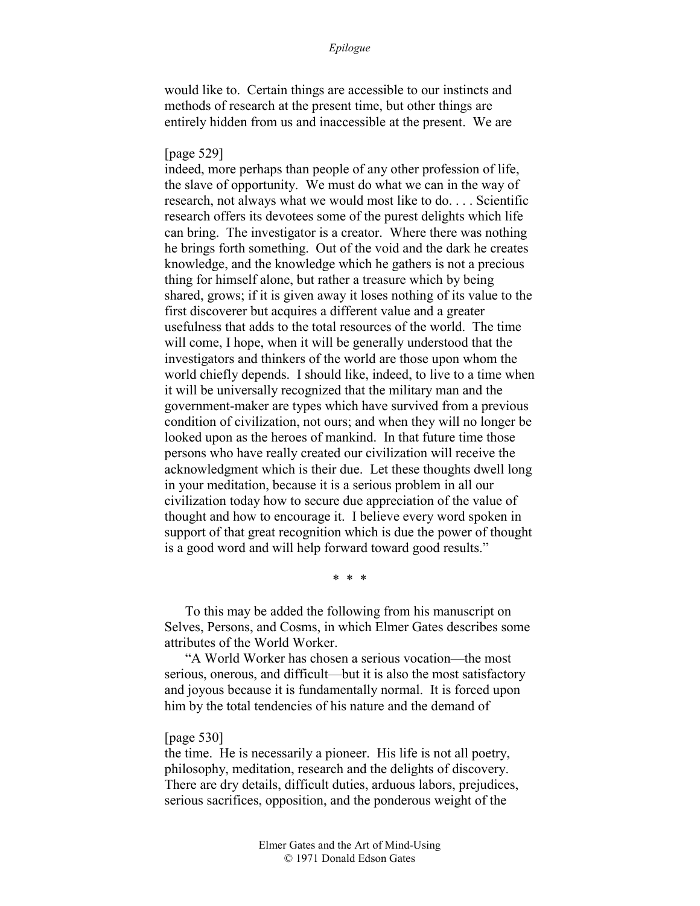would like to. Certain things are accessible to our instincts and methods of research at the present time, but other things are entirely hidden from us and inaccessible at the present. We are

[page 529]

indeed, more perhaps than people of any other profession of life, the slave of opportunity. We must do what we can in the way of research, not always what we would most like to do. . . . Scientific research offers its devotees some of the purest delights which life can bring. The investigator is a creator. Where there was nothing he brings forth something. Out of the void and the dark he creates knowledge, and the knowledge which he gathers is not a precious thing for himself alone, but rather a treasure which by being shared, grows; if it is given away it loses nothing of its value to the first discoverer but acquires a different value and a greater usefulness that adds to the total resources of the world. The time will come, I hope, when it will be generally understood that the investigators and thinkers of the world are those upon whom the world chiefly depends. I should like, indeed, to live to a time when it will be universally recognized that the military man and the government-maker are types which have survived from a previous condition of civilization, not ours; and when they will no longer be looked upon as the heroes of mankind. In that future time those persons who have really created our civilization will receive the acknowledgment which is their due. Let these thoughts dwell long in your meditation, because it is a serious problem in all our civilization today how to secure due appreciation of the value of thought and how to encourage it. I believe every word spoken in support of that great recognition which is due the power of thought is a good word and will help forward toward good results."

\* \* \*

To this may be added the following from his manuscript on Selves, Persons, and Cosms, in which Elmer Gates describes some attributes of the World Worker.

"A World Worker has chosen a serious vocation—the most serious, onerous, and difficult—but it is also the most satisfactory and joyous because it is fundamentally normal. It is forced upon him by the total tendencies of his nature and the demand of

## [page 530]

the time. He is necessarily a pioneer. His life is not all poetry, philosophy, meditation, research and the delights of discovery. There are dry details, difficult duties, arduous labors, prejudices, serious sacrifices, opposition, and the ponderous weight of the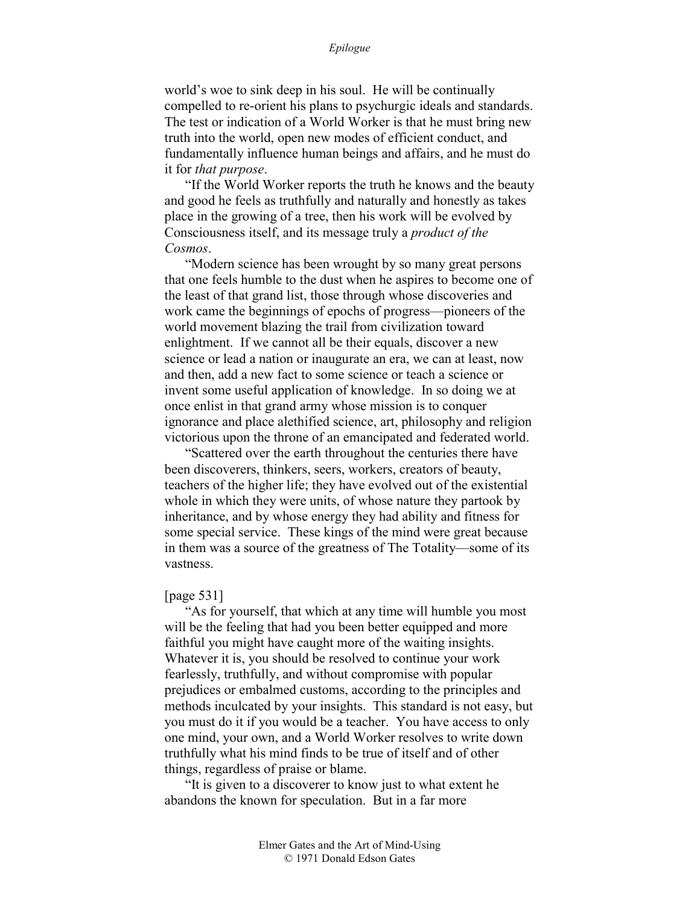world's woe to sink deep in his soul. He will be continually compelled to re-orient his plans to psychurgic ideals and standards. The test or indication of a World Worker is that he must bring new truth into the world, open new modes of efficient conduct, and fundamentally influence human beings and affairs, and he must do it for *that purpose*.

"If the World Worker reports the truth he knows and the beauty and good he feels as truthfully and naturally and honestly as takes place in the growing of a tree, then his work will be evolved by Consciousness itself, and its message truly a *product of the Cosmos*.

"Modern science has been wrought by so many great persons that one feels humble to the dust when he aspires to become one of the least of that grand list, those through whose discoveries and work came the beginnings of epochs of progress—pioneers of the world movement blazing the trail from civilization toward enlightment. If we cannot all be their equals, discover a new science or lead a nation or inaugurate an era, we can at least, now and then, add a new fact to some science or teach a science or invent some useful application of knowledge. In so doing we at once enlist in that grand army whose mission is to conquer ignorance and place alethified science, art, philosophy and religion victorious upon the throne of an emancipated and federated world.

"Scattered over the earth throughout the centuries there have been discoverers, thinkers, seers, workers, creators of beauty, teachers of the higher life; they have evolved out of the existential whole in which they were units, of whose nature they partook by inheritance, and by whose energy they had ability and fitness for some special service. These kings of the mind were great because in them was a source of the greatness of The Totality—some of its vastness.

### [page 531]

"As for yourself, that which at any time will humble you most will be the feeling that had you been better equipped and more faithful you might have caught more of the waiting insights. Whatever it is, you should be resolved to continue your work fearlessly, truthfully, and without compromise with popular prejudices or embalmed customs, according to the principles and methods inculcated by your insights. This standard is not easy, but you must do it if you would be a teacher. You have access to only one mind, your own, and a World Worker resolves to write down truthfully what his mind finds to be true of itself and of other things, regardless of praise or blame.

"It is given to a discoverer to know just to what extent he abandons the known for speculation. But in a far more